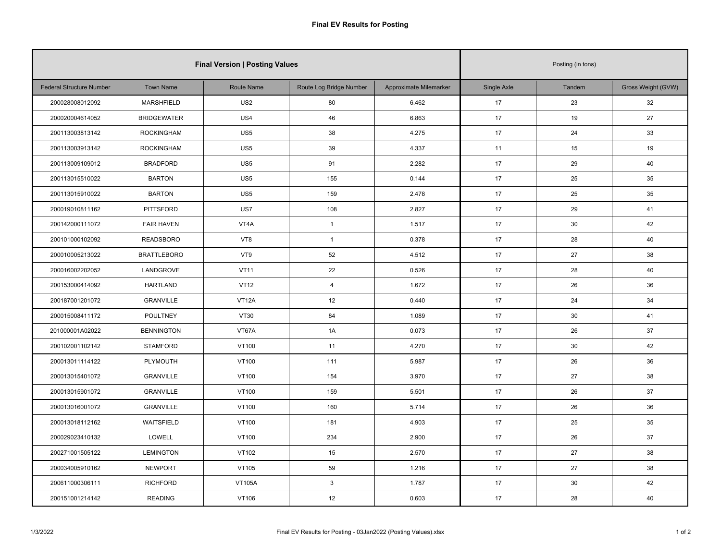| <b>Final Version   Posting Values</b> |                    |                 |                         |                        |             | Posting (in tons) |                    |  |  |
|---------------------------------------|--------------------|-----------------|-------------------------|------------------------|-------------|-------------------|--------------------|--|--|
| <b>Federal Structure Number</b>       | <b>Town Name</b>   | Route Name      | Route Log Bridge Number | Approximate Milemarker | Single Axle | Tandem            | Gross Weight (GVW) |  |  |
| 200028008012092                       | MARSHFIELD         | US <sub>2</sub> | 80                      | 6.462                  | 17          | 23                | 32                 |  |  |
| 200020004614052                       | <b>BRIDGEWATER</b> | US4             | 46                      | 6.863                  | 17          | 19                | 27                 |  |  |
| 200113003813142                       | <b>ROCKINGHAM</b>  | US5             | 38                      | 4.275                  | 17          | 24                | 33                 |  |  |
| 200113003913142                       | <b>ROCKINGHAM</b>  | US5             | 39                      | 4.337                  | 11          | 15                | 19                 |  |  |
| 200113009109012                       | <b>BRADFORD</b>    | US <sub>5</sub> | 91                      | 2.282                  | 17          | 29                | 40                 |  |  |
| 200113015510022                       | <b>BARTON</b>      | US5             | 155                     | 0.144                  | 17          | 25                | 35                 |  |  |
| 200113015910022                       | <b>BARTON</b>      | US5             | 159                     | 2.478                  | 17          | 25                | 35                 |  |  |
| 200019010811162                       | <b>PITTSFORD</b>   | US7             | 108                     | 2.827                  | 17          | 29                | 41                 |  |  |
| 200142000111072                       | <b>FAIR HAVEN</b>  | VT4A            | $\mathbf{1}$            | 1.517                  | 17          | 30                | 42                 |  |  |
| 200101000102092                       | <b>READSBORO</b>   | VT8             | $\mathbf{1}$            | 0.378                  | 17          | 28                | 40                 |  |  |
| 200010005213022                       | <b>BRATTLEBORO</b> | VT9             | 52                      | 4.512                  | 17          | 27                | 38                 |  |  |
| 200016002202052                       | LANDGROVE          | <b>VT11</b>     | 22                      | 0.526                  | 17          | 28                | 40                 |  |  |
| 200153000414092                       | <b>HARTLAND</b>    | <b>VT12</b>     | $\overline{4}$          | 1.672                  | 17          | 26                | 36                 |  |  |
| 200187001201072                       | <b>GRANVILLE</b>   | VT12A           | 12                      | 0.440                  | 17          | 24                | 34                 |  |  |
| 200015008411172                       | <b>POULTNEY</b>    | <b>VT30</b>     | 84                      | 1.089                  | 17          | 30                | 41                 |  |  |
| 201000001A02022                       | <b>BENNINGTON</b>  | VT67A           | 1A                      | 0.073                  | 17          | 26                | 37                 |  |  |
| 200102001102142                       | <b>STAMFORD</b>    | <b>VT100</b>    | 11                      | 4.270                  | 17          | 30                | 42                 |  |  |
| 200013011114122                       | PLYMOUTH           | <b>VT100</b>    | 111                     | 5.987                  | 17          | 26                | 36                 |  |  |
| 200013015401072                       | <b>GRANVILLE</b>   | <b>VT100</b>    | 154                     | 3.970                  | 17          | 27                | 38                 |  |  |
| 200013015901072                       | <b>GRANVILLE</b>   | <b>VT100</b>    | 159                     | 5.501                  | 17          | 26                | 37                 |  |  |
| 200013016001072                       | <b>GRANVILLE</b>   | <b>VT100</b>    | 160                     | 5.714                  | 17          | 26                | 36                 |  |  |
| 200013018112162                       | <b>WAITSFIELD</b>  | VT100           | 181                     | 4.903                  | 17          | 25                | 35                 |  |  |
| 200029023410132                       | LOWELL             | VT100           | 234                     | 2.900                  | 17          | 26                | 37                 |  |  |
| 200271001505122                       | <b>LEMINGTON</b>   | VT102           | 15                      | 2.570                  | 17          | 27                | 38                 |  |  |
| 200034005910162                       | <b>NEWPORT</b>     | VT105           | 59                      | 1.216                  | 17          | 27                | 38                 |  |  |
| 200611000306111                       | <b>RICHFORD</b>    | <b>VT105A</b>   | $\mathbf{3}$            | 1.787                  | 17          | 30                | 42                 |  |  |
| 200151001214142                       | <b>READING</b>     | VT106           | 12                      | 0.603                  | 17          | 28                | 40                 |  |  |